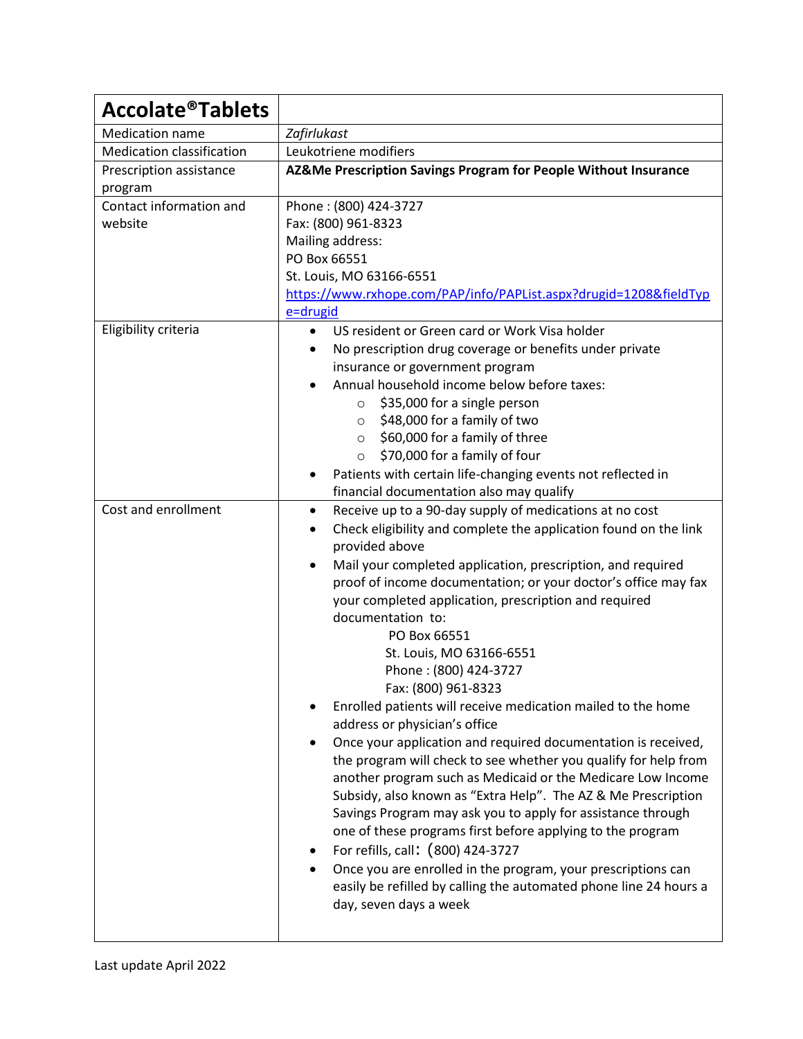| <b>Accolate<sup>®</sup>Tablets</b> |                                                                                |
|------------------------------------|--------------------------------------------------------------------------------|
| <b>Medication name</b>             | Zafirlukast                                                                    |
| <b>Medication classification</b>   | Leukotriene modifiers                                                          |
| Prescription assistance            | AZ&Me Prescription Savings Program for People Without Insurance                |
| program                            |                                                                                |
| Contact information and            | Phone: (800) 424-3727                                                          |
| website                            | Fax: (800) 961-8323                                                            |
|                                    | Mailing address:                                                               |
|                                    | PO Box 66551                                                                   |
|                                    | St. Louis, MO 63166-6551                                                       |
|                                    | https://www.rxhope.com/PAP/info/PAPList.aspx?drugid=1208&fieldTyp              |
|                                    | e=drugid                                                                       |
| Eligibility criteria               | US resident or Green card or Work Visa holder                                  |
|                                    | No prescription drug coverage or benefits under private                        |
|                                    | insurance or government program<br>Annual household income below before taxes: |
|                                    | \$35,000 for a single person<br>$\circ$                                        |
|                                    | \$48,000 for a family of two<br>$\circ$                                        |
|                                    | \$60,000 for a family of three<br>$\circ$                                      |
|                                    | \$70,000 for a family of four<br>$\circ$                                       |
|                                    | Patients with certain life-changing events not reflected in                    |
|                                    | financial documentation also may qualify                                       |
| Cost and enrollment                | Receive up to a 90-day supply of medications at no cost                        |
|                                    | Check eligibility and complete the application found on the link               |
|                                    | provided above                                                                 |
|                                    | Mail your completed application, prescription, and required                    |
|                                    | proof of income documentation; or your doctor's office may fax                 |
|                                    | your completed application, prescription and required                          |
|                                    | documentation to:                                                              |
|                                    | PO Box 66551                                                                   |
|                                    | St. Louis, MO 63166-6551                                                       |
|                                    | Phone: (800) 424-3727<br>Fax: (800) 961-8323                                   |
|                                    | Enrolled patients will receive medication mailed to the home                   |
|                                    | address or physician's office                                                  |
|                                    | Once your application and required documentation is received,                  |
|                                    | the program will check to see whether you qualify for help from                |
|                                    | another program such as Medicaid or the Medicare Low Income                    |
|                                    | Subsidy, also known as "Extra Help". The AZ & Me Prescription                  |
|                                    | Savings Program may ask you to apply for assistance through                    |
|                                    | one of these programs first before applying to the program                     |
|                                    | For refills, call: (800) 424-3727                                              |
|                                    | Once you are enrolled in the program, your prescriptions can                   |
|                                    | easily be refilled by calling the automated phone line 24 hours a              |
|                                    | day, seven days a week                                                         |
|                                    |                                                                                |